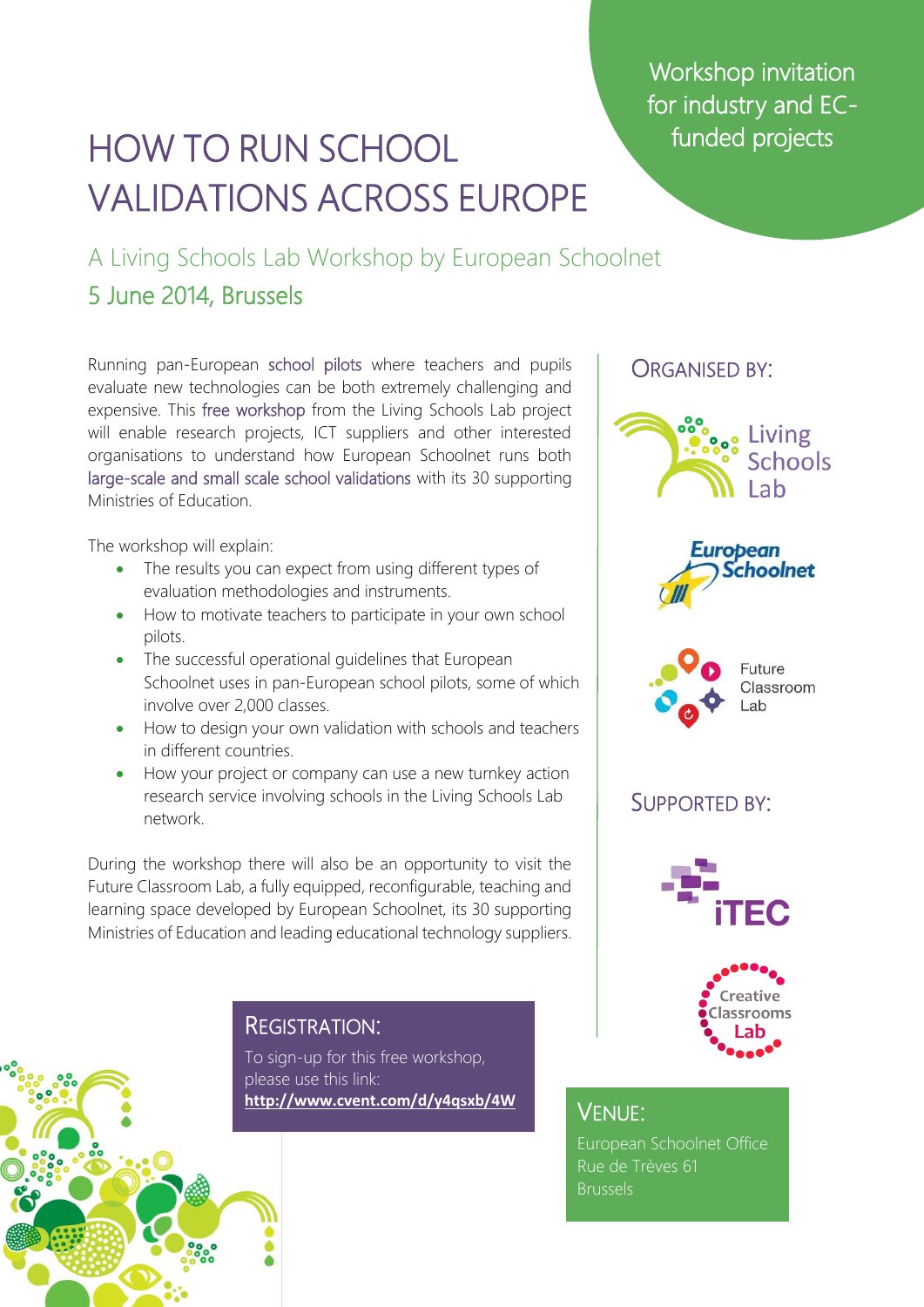Workshop invitation for industry and ECfunded projects

## HOW TO RUN SCHOOL VALIDATIONS ACROSS EUROPE

A Living Schools Lab Workshop by European Schoolnet

### 5 June 2014, Brussels

Running pan-European school pilots where teachers and pupils evaluate new technologies can be both extremely challenging and expensive. This free workshop from the Living Schools Lab project will enable research projects, ICT suppliers and other interested organisations to understand how European Schoolnet runs both large-scale and small scale school validations with its 30 supporting Ministries of Education.

The workshop will explain:

- The results you can expect from using different types of evaluation methodologies and instruments.
- How to motivate teachers to participate in your own school pilots.
- The successful operational quidelines that European Schoolnet uses in pan-European school pilots, some of which involve over 2,000 classes.
- How to design your own validation with schools and teachers in different countries.
- How your project or company can use a new turnkey action research service involving schools in the Living Schools Lab network.

During the workshop there will also be an opportunity to visit the Future Classroom Lab, a fully equipped, reconfigurable, teaching and learning space developed by European Schoolnet, its 30 supporting Ministries of Education and leading educational technology suppliers.

#### REGISTRATION:

To sign-up for this free workshop, please use this link: **<http://www.cvent.com/d/y4qsxb/4W>**



VENUE:

European Schoolnet Office Rue de Trèves 61 **Brussels**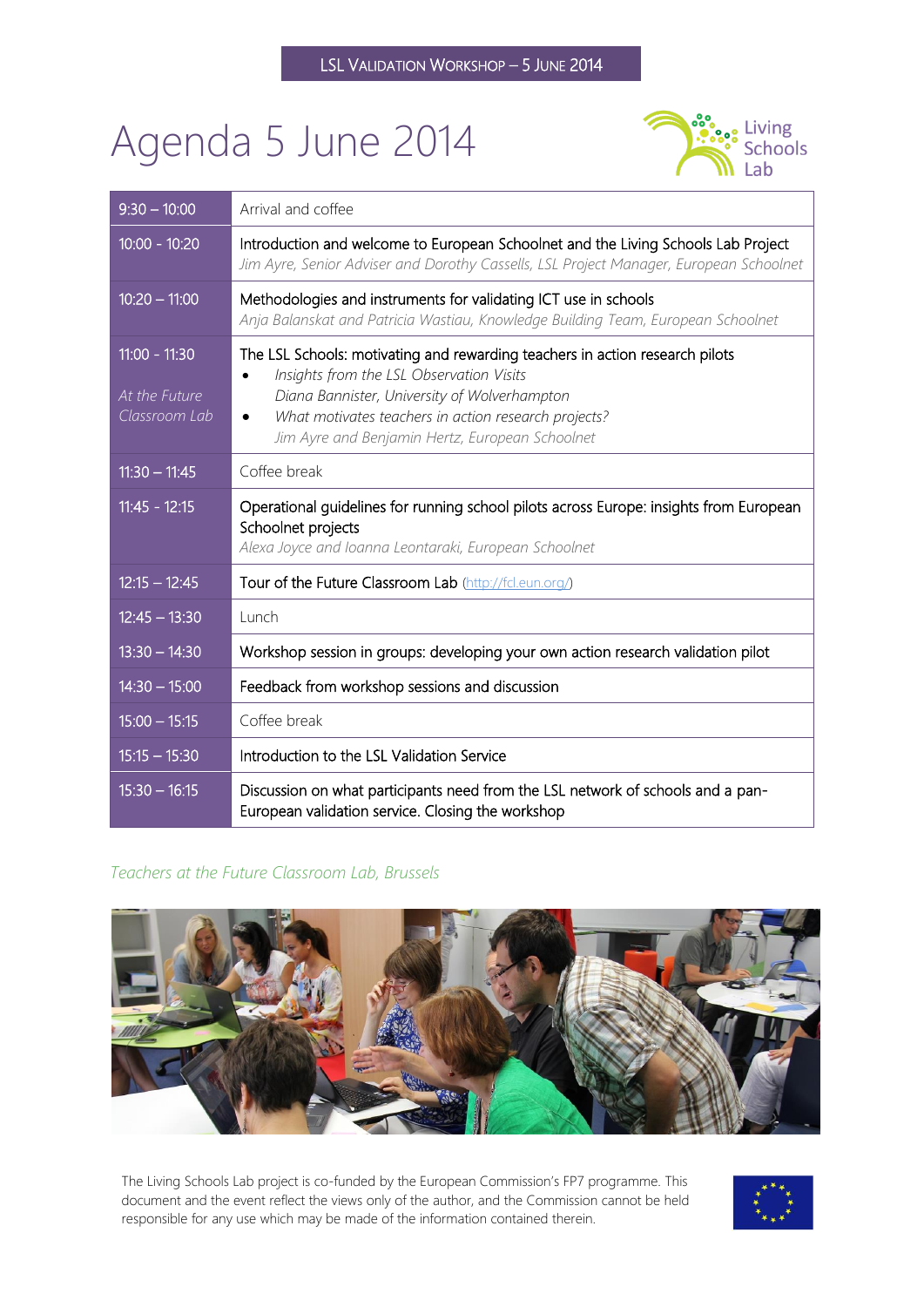# Agenda 5 June 2014



| $9:30 - 10:00$                                    | Arrival and coffee                                                                                                                                                                                                                                                                               |
|---------------------------------------------------|--------------------------------------------------------------------------------------------------------------------------------------------------------------------------------------------------------------------------------------------------------------------------------------------------|
| $\overline{10:00}$ - 10:20                        | Introduction and welcome to European Schoolnet and the Living Schools Lab Project<br>Jim Ayre, Senior Adviser and Dorothy Cassells, LSL Project Manager, European Schoolnet                                                                                                                      |
| $10:20 - 11:00$                                   | Methodologies and instruments for validating ICT use in schools<br>Anja Balanskat and Patricia Wastiau, Knowledge Building Team, European Schoolnet                                                                                                                                              |
| $11:00 - 11:30$<br>At the Future<br>Classroom Lab | The LSL Schools: motivating and rewarding teachers in action research pilots<br>Insights from the LSL Observation Visits<br>Diana Bannister, University of Wolverhampton<br>What motivates teachers in action research projects?<br>$\bullet$<br>Jim Ayre and Benjamin Hertz, European Schoolnet |
| $11:30 - 11:45$                                   | Coffee break                                                                                                                                                                                                                                                                                     |
| $11:45 - 12:15$                                   | Operational guidelines for running school pilots across Europe: insights from European<br>Schoolnet projects<br>Alexa Joyce and Ioanna Leontaraki, European Schoolnet                                                                                                                            |
| $12:15 - 12:45$                                   | Tour of the Future Classroom Lab (http://fcl.eun.org/)                                                                                                                                                                                                                                           |
| $12:45 - 13:30$                                   | Lunch                                                                                                                                                                                                                                                                                            |
| $13:30 - 14:30$                                   | Workshop session in groups: developing your own action research validation pilot                                                                                                                                                                                                                 |
| $14:30 - 15:00$                                   | Feedback from workshop sessions and discussion                                                                                                                                                                                                                                                   |
| $15:00 - 15:15$                                   | Coffee break                                                                                                                                                                                                                                                                                     |
| $15:15 - 15:30$                                   | Introduction to the LSL Validation Service                                                                                                                                                                                                                                                       |
| $15:30 - 16:15$                                   | Discussion on what participants need from the LSL network of schools and a pan-<br>European validation service. Closing the workshop                                                                                                                                                             |

#### *Teachers at the Future Classroom Lab, Brussels*



The Living Schools Lab project is co-funded by the European Commission's FP7 programme. This document and the event reflect the views only of the author, and the Commission cannot be held responsible for any use which may be made of the information contained therein.